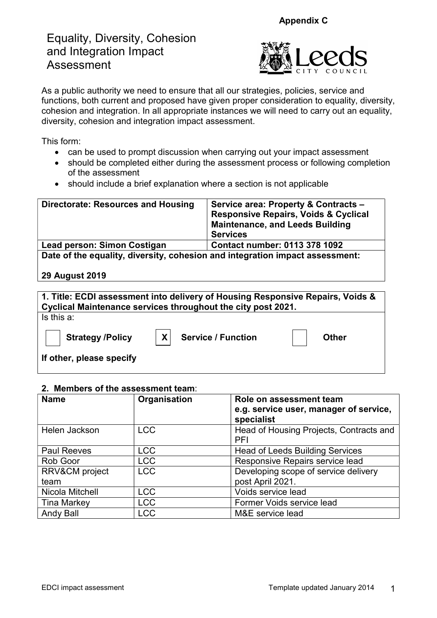Appendix C

# Equality, Diversity, Cohesion and Integration Impact Assessment



As a public authority we need to ensure that all our strategies, policies, service and functions, both current and proposed have given proper consideration to equality, diversity, cohesion and integration. In all appropriate instances we will need to carry out an equality, diversity, cohesion and integration impact assessment.

This form:

- can be used to prompt discussion when carrying out your impact assessment
- should be completed either during the assessment process or following completion of the assessment
- should include a brief explanation where a section is not applicable

| <b>Directorate: Resources and Housing</b>                                    | Service area: Property & Contracts -<br><b>Responsive Repairs, Voids &amp; Cyclical</b><br><b>Maintenance, and Leeds Building</b><br><b>Services</b> |  |
|------------------------------------------------------------------------------|------------------------------------------------------------------------------------------------------------------------------------------------------|--|
| Lead person: Simon Costigan                                                  | <b>Contact number: 0113 378 1092</b>                                                                                                                 |  |
| Date of the equality, diversity, cohesion and integration impact assessment: |                                                                                                                                                      |  |
| 29 August 2019                                                               |                                                                                                                                                      |  |

| 1. Title: ECDI assessment into delivery of Housing Responsive Repairs, Voids & |                                                              |              |
|--------------------------------------------------------------------------------|--------------------------------------------------------------|--------------|
|                                                                                | Cyclical Maintenance services throughout the city post 2021. |              |
| Is this a:                                                                     |                                                              |              |
| <b>Strategy /Policy</b>                                                        | X <br><b>Service / Function</b>                              | <b>Other</b> |
| If other, please specify                                                       |                                                              |              |

### 2. Members of the assessment team:

| <b>Name</b>        | Organisation | Role on assessment team<br>e.g. service user, manager of service,<br>specialist |
|--------------------|--------------|---------------------------------------------------------------------------------|
| Helen Jackson      | <b>LCC</b>   | Head of Housing Projects, Contracts and<br>PFI                                  |
| <b>Paul Reeves</b> | <b>LCC</b>   | <b>Head of Leeds Building Services</b>                                          |
| Rob Goor           | <b>LCC</b>   | Responsive Repairs service lead                                                 |
| RRV&CM project     | <b>LCC</b>   | Developing scope of service delivery                                            |
| team               |              | post April 2021.                                                                |
| Nicola Mitchell    | <b>LCC</b>   | Voids service lead                                                              |
| <b>Tina Markey</b> | <b>LCC</b>   | Former Voids service lead                                                       |
| <b>Andy Ball</b>   | <b>LCC</b>   | M&E service lead                                                                |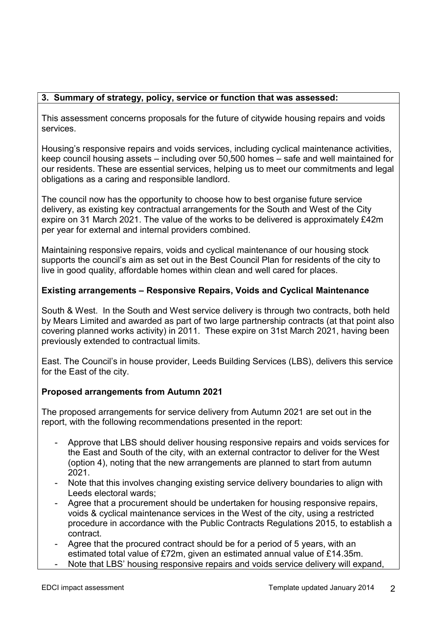### 3. Summary of strategy, policy, service or function that was assessed:

This assessment concerns proposals for the future of citywide housing repairs and voids services.

Housing's responsive repairs and voids services, including cyclical maintenance activities, keep council housing assets – including over 50,500 homes – safe and well maintained for our residents. These are essential services, helping us to meet our commitments and legal obligations as a caring and responsible landlord.

The council now has the opportunity to choose how to best organise future service delivery, as existing key contractual arrangements for the South and West of the City expire on 31 March 2021. The value of the works to be delivered is approximately £42m per year for external and internal providers combined.

Maintaining responsive repairs, voids and cyclical maintenance of our housing stock supports the council's aim as set out in the Best Council Plan for residents of the city to live in good quality, affordable homes within clean and well cared for places.

### Existing arrangements – Responsive Repairs, Voids and Cyclical Maintenance

South & West. In the South and West service delivery is through two contracts, both held by Mears Limited and awarded as part of two large partnership contracts (at that point also covering planned works activity) in 2011. These expire on 31st March 2021, having been previously extended to contractual limits.

East. The Council's in house provider, Leeds Building Services (LBS), delivers this service for the East of the city.

### Proposed arrangements from Autumn 2021

The proposed arrangements for service delivery from Autumn 2021 are set out in the report, with the following recommendations presented in the report:

- Approve that LBS should deliver housing responsive repairs and voids services for the East and South of the city, with an external contractor to deliver for the West (option 4), noting that the new arrangements are planned to start from autumn 2021.
- Note that this involves changing existing service delivery boundaries to align with Leeds electoral wards;
- Agree that a procurement should be undertaken for housing responsive repairs, voids & cyclical maintenance services in the West of the city, using a restricted procedure in accordance with the Public Contracts Regulations 2015, to establish a contract.
- Agree that the procured contract should be for a period of 5 years, with an estimated total value of £72m, given an estimated annual value of £14.35m.
- Note that LBS' housing responsive repairs and voids service delivery will expand,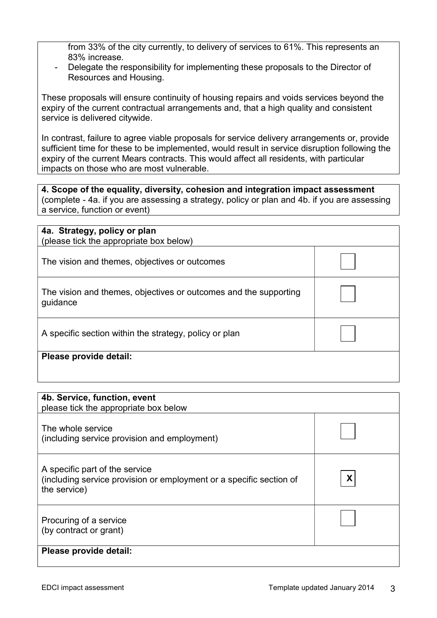from 33% of the city currently, to delivery of services to 61%. This represents an 83% increase.

- Delegate the responsibility for implementing these proposals to the Director of Resources and Housing.

These proposals will ensure continuity of housing repairs and voids services beyond the expiry of the current contractual arrangements and, that a high quality and consistent service is delivered citywide.

In contrast, failure to agree viable proposals for service delivery arrangements or, provide sufficient time for these to be implemented, would result in service disruption following the expiry of the current Mears contracts. This would affect all residents, with particular impacts on those who are most vulnerable.

4. Scope of the equality, diversity, cohesion and integration impact assessment (complete - 4a. if you are assessing a strategy, policy or plan and 4b. if you are assessing a service, function or event)

| 4a. Strategy, policy or plan<br>(please tick the appropriate box below)      |  |
|------------------------------------------------------------------------------|--|
| The vision and themes, objectives or outcomes                                |  |
| The vision and themes, objectives or outcomes and the supporting<br>guidance |  |
| A specific section within the strategy, policy or plan                       |  |
| Please provide detail:                                                       |  |
|                                                                              |  |

| 4b. Service, function, event<br>please tick the appropriate box below                                                 |   |
|-----------------------------------------------------------------------------------------------------------------------|---|
| The whole service<br>(including service provision and employment)                                                     |   |
| A specific part of the service<br>(including service provision or employment or a specific section of<br>the service) | X |
| Procuring of a service<br>(by contract or grant)                                                                      |   |
| Please provide detail:                                                                                                |   |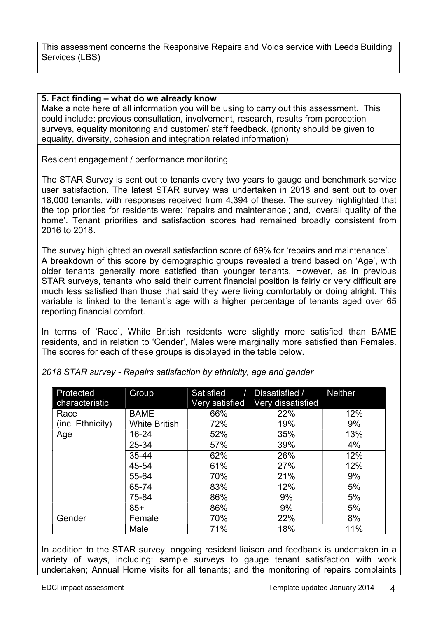This assessment concerns the Responsive Repairs and Voids service with Leeds Building Services (LBS)

### 5. Fact finding – what do we already know

Make a note here of all information you will be using to carry out this assessment. This could include: previous consultation, involvement, research, results from perception surveys, equality monitoring and customer/ staff feedback. (priority should be given to equality, diversity, cohesion and integration related information)

Resident engagement / performance monitoring

The STAR Survey is sent out to tenants every two years to gauge and benchmark service user satisfaction. The latest STAR survey was undertaken in 2018 and sent out to over 18,000 tenants, with responses received from 4,394 of these. The survey highlighted that the top priorities for residents were: 'repairs and maintenance'; and, 'overall quality of the home'. Tenant priorities and satisfaction scores had remained broadly consistent from 2016 to 2018.

The survey highlighted an overall satisfaction score of 69% for 'repairs and maintenance'. A breakdown of this score by demographic groups revealed a trend based on 'Age', with older tenants generally more satisfied than younger tenants. However, as in previous STAR surveys, tenants who said their current financial position is fairly or very difficult are much less satisfied than those that said they were living comfortably or doing alright. This variable is linked to the tenant's age with a higher percentage of tenants aged over 65 reporting financial comfort.

In terms of 'Race', White British residents were slightly more satisfied than BAME residents, and in relation to 'Gender', Males were marginally more satisfied than Females. The scores for each of these groups is displayed in the table below.

| Protected<br>characteristic | Group                | Satisfied<br>Very satisfied | Dissatisfied /<br>Very dissatisfied | <b>Neither</b> |
|-----------------------------|----------------------|-----------------------------|-------------------------------------|----------------|
| Race                        | <b>BAME</b>          | 66%                         | 22%                                 | 12%            |
| (inc. Ethnicity)            | <b>White British</b> | 72%                         | 19%                                 | 9%             |
| Age                         | 16-24                | 52%                         | 35%                                 | 13%            |
|                             | 25-34                | 57%                         | 39%                                 | 4%             |
|                             | 35-44                | 62%                         | 26%                                 | 12%            |
|                             | 45-54                | 61%                         | 27%                                 | 12%            |
|                             | 55-64                | 70%                         | 21%                                 | 9%             |
|                             | 65-74                | 83%                         | 12%                                 | 5%             |
|                             | 75-84                | 86%                         | 9%                                  | 5%             |
|                             | $85+$                | 86%                         | 9%                                  | 5%             |
| Gender                      | Female               | 70%                         | 22%                                 | 8%             |
|                             | Male                 | 71%                         | 18%                                 | 11%            |

2018 STAR survey - Repairs satisfaction by ethnicity, age and gender

In addition to the STAR survey, ongoing resident liaison and feedback is undertaken in a variety of ways, including: sample surveys to gauge tenant satisfaction with work undertaken; Annual Home visits for all tenants; and the monitoring of repairs complaints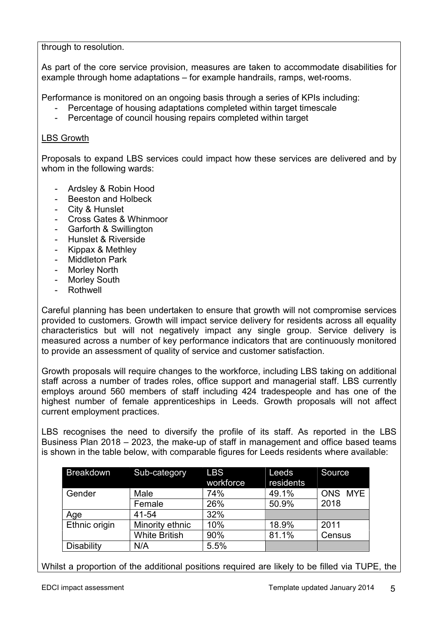through to resolution.

As part of the core service provision, measures are taken to accommodate disabilities for example through home adaptations – for example handrails, ramps, wet-rooms.

Performance is monitored on an ongoing basis through a series of KPIs including:

- Percentage of housing adaptations completed within target timescale
- Percentage of council housing repairs completed within target

### LBS Growth

Proposals to expand LBS services could impact how these services are delivered and by whom in the following wards:

- Ardsley & Robin Hood
- Beeston and Holbeck
- City & Hunslet
- Cross Gates & Whinmoor
- Garforth & Swillington
- Hunslet & Riverside
- Kippax & Methley
- Middleton Park
- Morley North
- Morley South
- **Rothwell**

Careful planning has been undertaken to ensure that growth will not compromise services provided to customers. Growth will impact service delivery for residents across all equality characteristics but will not negatively impact any single group. Service delivery is measured across a number of key performance indicators that are continuously monitored to provide an assessment of quality of service and customer satisfaction.

Growth proposals will require changes to the workforce, including LBS taking on additional staff across a number of trades roles, office support and managerial staff. LBS currently employs around 560 members of staff including 424 tradespeople and has one of the highest number of female apprenticeships in Leeds. Growth proposals will not affect current employment practices.

LBS recognises the need to diversify the profile of its staff. As reported in the LBS Business Plan 2018 – 2023, the make-up of staff in management and office based teams is shown in the table below, with comparable figures for Leeds residents where available:

| <b>Breakdown</b>  | Sub-category         | <b>LBS</b> | Leeds     | Source  |
|-------------------|----------------------|------------|-----------|---------|
|                   |                      | workforce  | residents |         |
| Gender            | Male                 | 74%        | 49.1%     | ONS MYE |
|                   | Female               | 26%        | 50.9%     | 2018    |
| Age               | 41-54                | 32%        |           |         |
| Ethnic origin     | Minority ethnic      | 10%        | 18.9%     | 2011    |
|                   | <b>White British</b> | 90%        | 81.1%     | Census  |
| <b>Disability</b> | N/A                  | 5.5%       |           |         |

Whilst a proportion of the additional positions required are likely to be filled via TUPE, the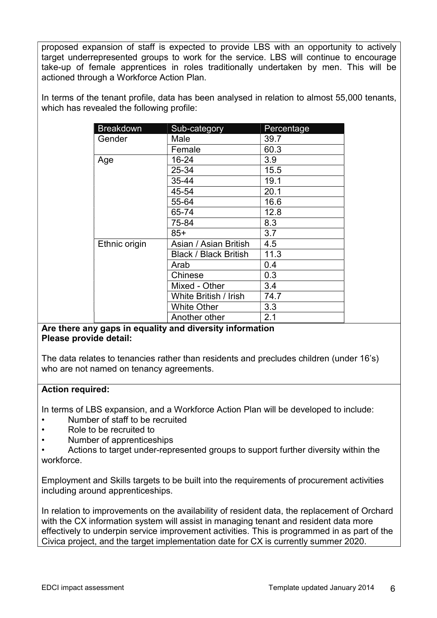proposed expansion of staff is expected to provide LBS with an opportunity to actively target underrepresented groups to work for the service. LBS will continue to encourage take-up of female apprentices in roles traditionally undertaken by men. This will be actioned through a Workforce Action Plan.

In terms of the tenant profile, data has been analysed in relation to almost 55,000 tenants, which has revealed the following profile:

| <b>Breakdown</b> | Sub-category                 | Percentage |
|------------------|------------------------------|------------|
| Gender           | Male                         | 39.7       |
|                  | Female                       | 60.3       |
| Age              | 16-24                        | 3.9        |
|                  | 25-34                        | 15.5       |
|                  | 35-44                        | 19.1       |
|                  | 45-54                        | 20.1       |
|                  | 55-64                        | 16.6       |
|                  | 65-74                        | 12.8       |
|                  | 75-84                        | 8.3        |
|                  | $85+$                        | 3.7        |
| Ethnic origin    | Asian / Asian British        | 4.5        |
|                  | <b>Black / Black British</b> | 11.3       |
|                  | Arab                         | 0.4        |
|                  | Chinese                      | 0.3        |
|                  | Mixed - Other                | 3.4        |
|                  | White British / Irish        | 74.7       |
|                  | <b>White Other</b>           | 3.3        |
|                  | Another other                | 2.1        |

### Are there any gaps in equality and diversity information Please provide detail:

The data relates to tenancies rather than residents and precludes children (under 16's) who are not named on tenancy agreements.

### Action required:

In terms of LBS expansion, and a Workforce Action Plan will be developed to include:

- Number of staff to be recruited
- Role to be recruited to
- Number of apprenticeships

• Actions to target under-represented groups to support further diversity within the workforce.

Employment and Skills targets to be built into the requirements of procurement activities including around apprenticeships.

In relation to improvements on the availability of resident data, the replacement of Orchard with the CX information system will assist in managing tenant and resident data more effectively to underpin service improvement activities. This is programmed in as part of the Civica project, and the target implementation date for CX is currently summer 2020.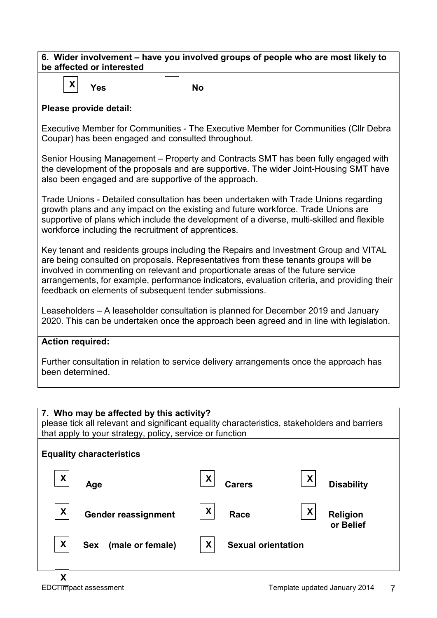| 6. Wider involvement – have you involved groups of people who are most likely to |
|----------------------------------------------------------------------------------|
| be affected or interested                                                        |



### Please provide detail:

Executive Member for Communities - The Executive Member for Communities (Cllr Debra Coupar) has been engaged and consulted throughout.

Senior Housing Management – Property and Contracts SMT has been fully engaged with the development of the proposals and are supportive. The wider Joint-Housing SMT have also been engaged and are supportive of the approach.

Trade Unions - Detailed consultation has been undertaken with Trade Unions regarding growth plans and any impact on the existing and future workforce. Trade Unions are supportive of plans which include the development of a diverse, multi-skilled and flexible workforce including the recruitment of apprentices.

Key tenant and residents groups including the Repairs and Investment Group and VITAL are being consulted on proposals. Representatives from these tenants groups will be involved in commenting on relevant and proportionate areas of the future service arrangements, for example, performance indicators, evaluation criteria, and providing their feedback on elements of subsequent tender submissions.

Leaseholders – A leaseholder consultation is planned for December 2019 and January 2020. This can be undertaken once the approach been agreed and in line with legislation.

### Action required:

Further consultation in relation to service delivery arrangements once the approach has been determined.

### 7. Who may be affected by this activity?

please tick all relevant and significant equality characteristics, stakeholders and barriers that apply to your strategy, policy, service or function



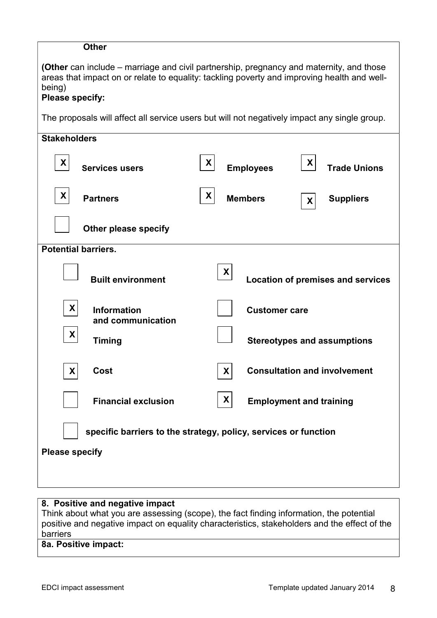| <b>Other</b>                                                                                                                                                                                                               |                                                                                              |  |  |
|----------------------------------------------------------------------------------------------------------------------------------------------------------------------------------------------------------------------------|----------------------------------------------------------------------------------------------|--|--|
| <b>(Other</b> can include – marriage and civil partnership, pregnancy and maternity, and those<br>areas that impact on or relate to equality: tackling poverty and improving health and well-<br>being)<br>Please specify: |                                                                                              |  |  |
|                                                                                                                                                                                                                            | The proposals will affect all service users but will not negatively impact any single group. |  |  |
| <b>Stakeholders</b>                                                                                                                                                                                                        |                                                                                              |  |  |
| X<br><b>Services users</b>                                                                                                                                                                                                 | X<br>X<br><b>Employees</b><br><b>Trade Unions</b>                                            |  |  |
| X<br><b>Partners</b>                                                                                                                                                                                                       | X<br><b>Members</b><br><b>Suppliers</b><br>$\boldsymbol{X}$                                  |  |  |
| Other please specify                                                                                                                                                                                                       |                                                                                              |  |  |
| <b>Potential barriers.</b>                                                                                                                                                                                                 |                                                                                              |  |  |
| <b>Built environment</b>                                                                                                                                                                                                   | X<br><b>Location of premises and services</b>                                                |  |  |
| X<br><b>Information</b><br>and communication                                                                                                                                                                               | <b>Customer care</b>                                                                         |  |  |
| X<br><b>Timing</b>                                                                                                                                                                                                         | <b>Stereotypes and assumptions</b>                                                           |  |  |
| Cost<br>X.                                                                                                                                                                                                                 | <b>Consultation and involvement</b><br>X                                                     |  |  |
| <b>Financial exclusion</b>                                                                                                                                                                                                 | X<br><b>Employment and training</b>                                                          |  |  |
| specific barriers to the strategy, policy, services or function                                                                                                                                                            |                                                                                              |  |  |
| <b>Please specify</b>                                                                                                                                                                                                      |                                                                                              |  |  |
|                                                                                                                                                                                                                            |                                                                                              |  |  |

# 8. Positive and negative impact

Think about what you are assessing (scope), the fact finding information, the potential positive and negative impact on equality characteristics, stakeholders and the effect of the barriers

### 8a. Positive impact: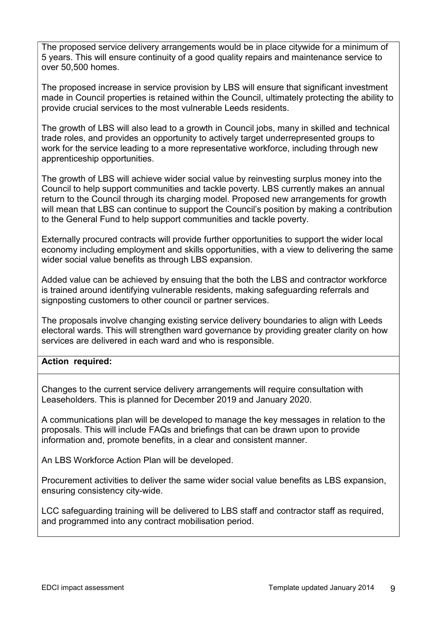The proposed service delivery arrangements would be in place citywide for a minimum of 5 years. This will ensure continuity of a good quality repairs and maintenance service to over 50,500 homes.

The proposed increase in service provision by LBS will ensure that significant investment made in Council properties is retained within the Council, ultimately protecting the ability to provide crucial services to the most vulnerable Leeds residents.

The growth of LBS will also lead to a growth in Council jobs, many in skilled and technical trade roles, and provides an opportunity to actively target underrepresented groups to work for the service leading to a more representative workforce, including through new apprenticeship opportunities.

The growth of LBS will achieve wider social value by reinvesting surplus money into the Council to help support communities and tackle poverty. LBS currently makes an annual return to the Council through its charging model. Proposed new arrangements for growth will mean that LBS can continue to support the Council's position by making a contribution to the General Fund to help support communities and tackle poverty.

Externally procured contracts will provide further opportunities to support the wider local economy including employment and skills opportunities, with a view to delivering the same wider social value benefits as through LBS expansion.

Added value can be achieved by ensuing that the both the LBS and contractor workforce is trained around identifying vulnerable residents, making safeguarding referrals and signposting customers to other council or partner services.

The proposals involve changing existing service delivery boundaries to align with Leeds electoral wards. This will strengthen ward governance by providing greater clarity on how services are delivered in each ward and who is responsible.

### Action required:

Changes to the current service delivery arrangements will require consultation with Leaseholders. This is planned for December 2019 and January 2020.

A communications plan will be developed to manage the key messages in relation to the proposals. This will include FAQs and briefings that can be drawn upon to provide information and, promote benefits, in a clear and consistent manner.

An LBS Workforce Action Plan will be developed.

Procurement activities to deliver the same wider social value benefits as LBS expansion, ensuring consistency city-wide.

LCC safeguarding training will be delivered to LBS staff and contractor staff as required, and programmed into any contract mobilisation period.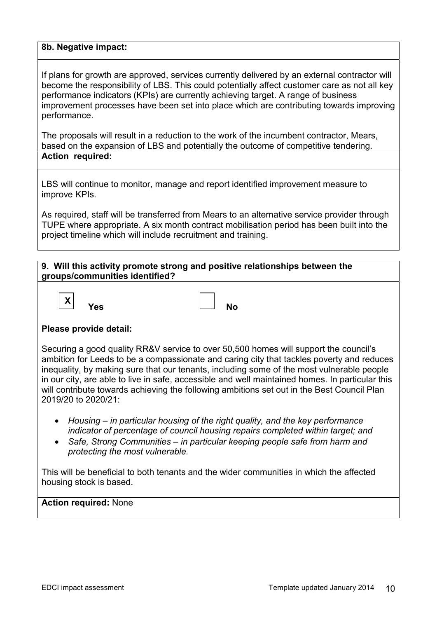#### 8b. Negative impact:

If plans for growth are approved, services currently delivered by an external contractor will become the responsibility of LBS. This could potentially affect customer care as not all key performance indicators (KPIs) are currently achieving target. A range of business improvement processes have been set into place which are contributing towards improving performance.

The proposals will result in a reduction to the work of the incumbent contractor, Mears, based on the expansion of LBS and potentially the outcome of competitive tendering. Action required:

LBS will continue to monitor, manage and report identified improvement measure to improve KPIs.

As required, staff will be transferred from Mears to an alternative service provider through TUPE where appropriate. A six month contract mobilisation period has been built into the project timeline which will include recruitment and training.

### 9. Will this activity promote strong and positive relationships between the groups/communities identified?



### Please provide detail:

Securing a good quality RR&V service to over 50,500 homes will support the council's ambition for Leeds to be a compassionate and caring city that tackles poverty and reduces inequality, by making sure that our tenants, including some of the most vulnerable people in our city, are able to live in safe, accessible and well maintained homes. In particular this will contribute towards achieving the following ambitions set out in the Best Council Plan 2019/20 to 2020/21:

- Housing in particular housing of the right quality, and the key performance indicator of percentage of council housing repairs completed within target; and
- Safe, Strong Communities in particular keeping people safe from harm and protecting the most vulnerable.

This will be beneficial to both tenants and the wider communities in which the affected housing stock is based.

Action required: None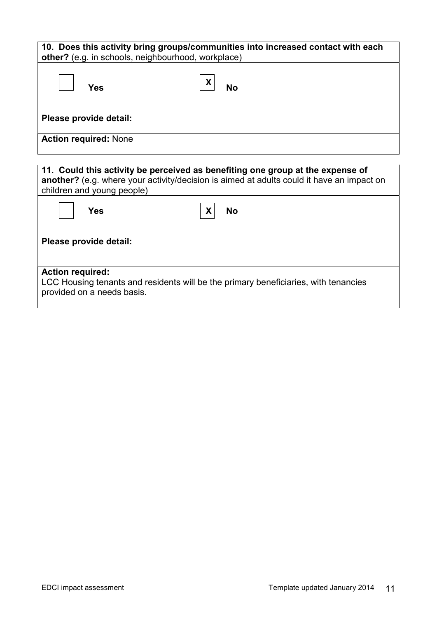| other? (e.g. in schools, neighbourhood, workplace)                                                                                                                                                        | 10. Does this activity bring groups/communities into increased contact with each |
|-----------------------------------------------------------------------------------------------------------------------------------------------------------------------------------------------------------|----------------------------------------------------------------------------------|
| Yes                                                                                                                                                                                                       | <b>No</b>                                                                        |
| Please provide detail:                                                                                                                                                                                    |                                                                                  |
| <b>Action required: None</b>                                                                                                                                                                              |                                                                                  |
|                                                                                                                                                                                                           |                                                                                  |
| 11. Could this activity be perceived as benefiting one group at the expense of<br>another? (e.g. where your activity/decision is aimed at adults could it have an impact on<br>children and young people) |                                                                                  |

| Yes                                                   | X<br><b>No</b>                                                                      |
|-------------------------------------------------------|-------------------------------------------------------------------------------------|
| Please provide detail:                                |                                                                                     |
| <b>Action required:</b><br>provided on a needs basis. | LCC Housing tenants and residents will be the primary beneficiaries, with tenancies |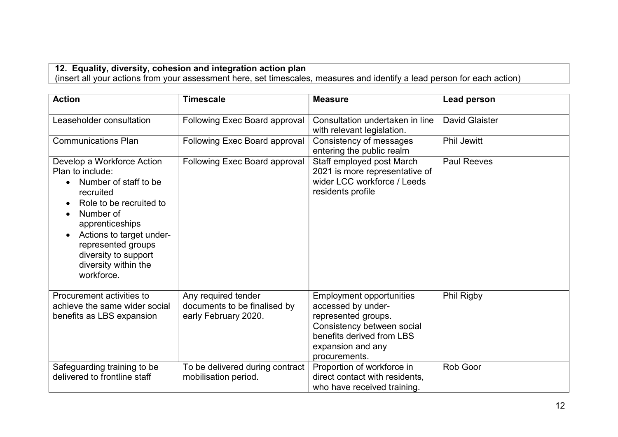### 12. Equality, diversity, cohesion and integration action plan

(insert all your actions from your assessment here, set timescales, measures and identify a lead person for each action)

| <b>Action</b>                                                                                                                                                                                                                                                                | <b>Timescale</b>                                                            | <b>Measure</b>                                                                                                                                                                | <b>Lead person</b>    |
|------------------------------------------------------------------------------------------------------------------------------------------------------------------------------------------------------------------------------------------------------------------------------|-----------------------------------------------------------------------------|-------------------------------------------------------------------------------------------------------------------------------------------------------------------------------|-----------------------|
| Leaseholder consultation                                                                                                                                                                                                                                                     | Following Exec Board approval                                               | Consultation undertaken in line<br>with relevant legislation.                                                                                                                 | <b>David Glaister</b> |
| <b>Communications Plan</b>                                                                                                                                                                                                                                                   | <b>Following Exec Board approval</b>                                        | Consistency of messages<br>entering the public realm                                                                                                                          | Phil Jewitt           |
| Develop a Workforce Action<br>Plan to include:<br>Number of staff to be<br>recruited<br>Role to be recruited to<br>Number of<br>apprenticeships<br>Actions to target under-<br>$\bullet$<br>represented groups<br>diversity to support<br>diversity within the<br>workforce. | <b>Following Exec Board approval</b>                                        | Staff employed post March<br>2021 is more representative of<br>wider LCC workforce / Leeds<br>residents profile                                                               | <b>Paul Reeves</b>    |
| Procurement activities to<br>achieve the same wider social<br>benefits as LBS expansion                                                                                                                                                                                      | Any required tender<br>documents to be finalised by<br>early February 2020. | <b>Employment opportunities</b><br>accessed by under-<br>represented groups.<br>Consistency between social<br>benefits derived from LBS<br>expansion and any<br>procurements. | Phil Rigby            |
| Safeguarding training to be<br>delivered to frontline staff                                                                                                                                                                                                                  | To be delivered during contract<br>mobilisation period.                     | Proportion of workforce in<br>direct contact with residents,<br>who have received training.                                                                                   | Rob Goor              |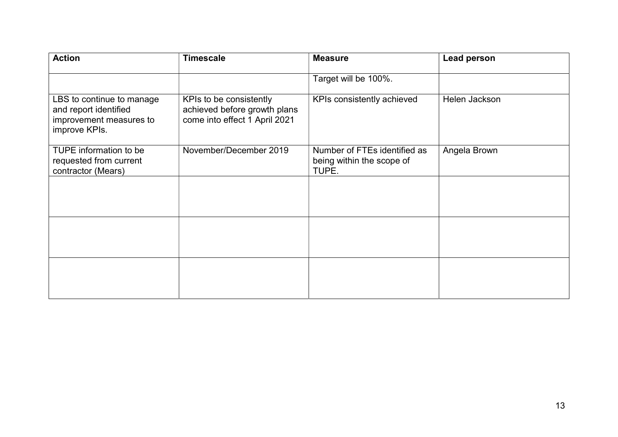| <b>Action</b>                                                                                  | <b>Timescale</b>                                                                         | <b>Measure</b>                                                     | <b>Lead person</b> |
|------------------------------------------------------------------------------------------------|------------------------------------------------------------------------------------------|--------------------------------------------------------------------|--------------------|
|                                                                                                |                                                                                          | Target will be 100%.                                               |                    |
| LBS to continue to manage<br>and report identified<br>improvement measures to<br>improve KPIs. | KPIs to be consistently<br>achieved before growth plans<br>come into effect 1 April 2021 | KPIs consistently achieved                                         | Helen Jackson      |
| TUPE information to be<br>requested from current<br>contractor (Mears)                         | November/December 2019                                                                   | Number of FTEs identified as<br>being within the scope of<br>TUPE. | Angela Brown       |
|                                                                                                |                                                                                          |                                                                    |                    |
|                                                                                                |                                                                                          |                                                                    |                    |
|                                                                                                |                                                                                          |                                                                    |                    |